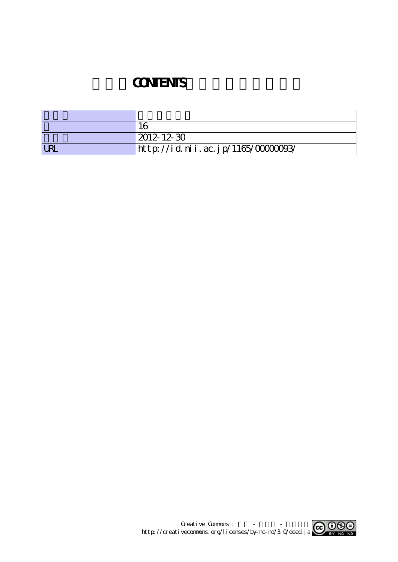## **CONTENTS**

|            | 1 <sup>2</sup>                    |
|------------|-----------------------------------|
|            | $ 2012 - 12 - 30 $                |
| <b>LRL</b> | http://id.nii.ac.jp/1165/0000093/ |